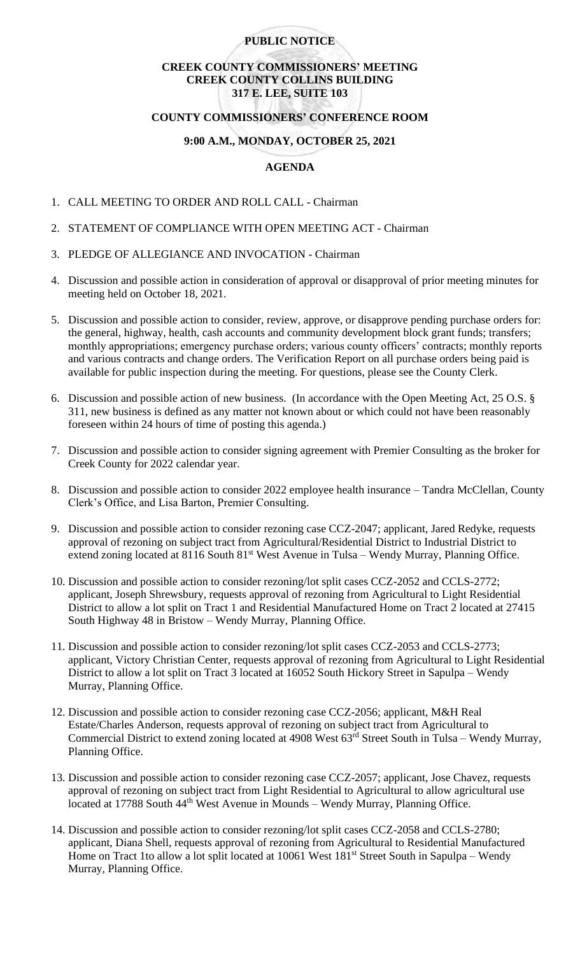## **PUBLIC NOTICE**

# **CREEK COUNTY COMMISSIONERS' MEETING CREEK COUNTY COLLINS BUILDING 317 E. LEE, SUITE 103**

### **COUNTY COMMISSIONERS' CONFERENCE ROOM**

### **9:00 A.M., MONDAY, OCTOBER 25, 2021**

# **AGENDA**

- 1. CALL MEETING TO ORDER AND ROLL CALL Chairman
- 2. STATEMENT OF COMPLIANCE WITH OPEN MEETING ACT Chairman
- 3. PLEDGE OF ALLEGIANCE AND INVOCATION Chairman
- 4. Discussion and possible action in consideration of approval or disapproval of prior meeting minutes for meeting held on October 18, 2021.
- 5. Discussion and possible action to consider, review, approve, or disapprove pending purchase orders for: the general, highway, health, cash accounts and community development block grant funds; transfers; monthly appropriations; emergency purchase orders; various county officers' contracts; monthly reports and various contracts and change orders. The Verification Report on all purchase orders being paid is available for public inspection during the meeting. For questions, please see the County Clerk.
- 6. Discussion and possible action of new business. (In accordance with the Open Meeting Act, 25 O.S. § 311, new business is defined as any matter not known about or which could not have been reasonably foreseen within 24 hours of time of posting this agenda.)
- 7. Discussion and possible action to consider signing agreement with Premier Consulting as the broker for Creek County for 2022 calendar year.
- 8. Discussion and possible action to consider 2022 employee health insurance Tandra McClellan, County Clerk's Office, and Lisa Barton, Premier Consulting.
- 9. Discussion and possible action to consider rezoning case CCZ-2047; applicant, Jared Redyke, requests approval of rezoning on subject tract from Agricultural/Residential District to Industrial District to extend zoning located at 8116 South 81<sup>st</sup> West Avenue in Tulsa – Wendy Murray, Planning Office.
- 10. Discussion and possible action to consider rezoning/lot split cases CCZ-2052 and CCLS-2772; applicant, Joseph Shrewsbury, requests approval of rezoning from Agricultural to Light Residential District to allow a lot split on Tract 1 and Residential Manufactured Home on Tract 2 located at 27415 South Highway 48 in Bristow – Wendy Murray, Planning Office.
- 11. Discussion and possible action to consider rezoning/lot split cases CCZ-2053 and CCLS-2773; applicant, Victory Christian Center, requests approval of rezoning from Agricultural to Light Residential District to allow a lot split on Tract 3 located at 16052 South Hickory Street in Sapulpa – Wendy Murray, Planning Office.
- 12. Discussion and possible action to consider rezoning case CCZ-2056; applicant, M&H Real Estate/Charles Anderson, requests approval of rezoning on subject tract from Agricultural to Commercial District to extend zoning located at 4908 West 63<sup>rd</sup> Street South in Tulsa – Wendy Murray, Planning Office.
- 13. Discussion and possible action to consider rezoning case CCZ-2057; applicant, Jose Chavez, requests approval of rezoning on subject tract from Light Residential to Agricultural to allow agricultural use located at 17788 South 44<sup>th</sup> West Avenue in Mounds – Wendy Murray, Planning Office.
- 14. Discussion and possible action to consider rezoning/lot split cases CCZ-2058 and CCLS-2780; applicant, Diana Shell, requests approval of rezoning from Agricultural to Residential Manufactured Home on Tract 1to allow a lot split located at 10061 West 181<sup>st</sup> Street South in Sapulpa – Wendy Murray, Planning Office.